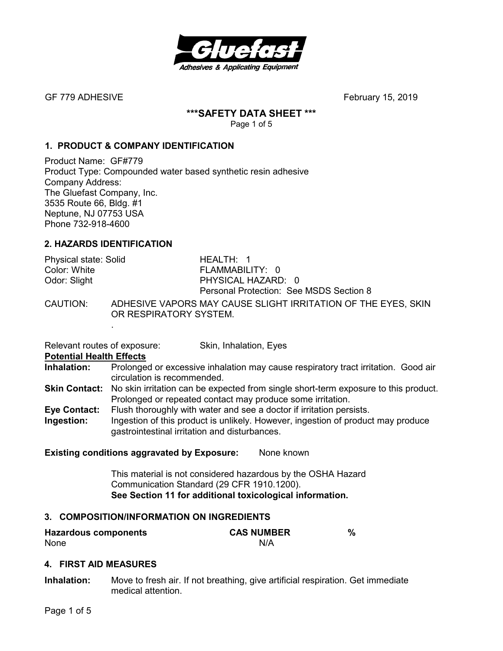

GF 779 ADHESIVEFebruary 15, 2019

## **\*\*\*SAFETY DATA SHEET \*\*\***

Page 1 of 5

# **1. PRODUCT & COMPANY IDENTIFICATION**

Product Name: GF#779 Product Type: Compounded water based synthetic resin adhesive Company Address: The Gluefast Company, Inc. 3535 Route 66, Bldg. #1 Neptune, NJ 07753 USA Phone 732-918-4600

# **2. HAZARDS IDENTIFICATION**

| Physical state: Solid                             | HEALTH: 1                                                  |
|---------------------------------------------------|------------------------------------------------------------|
| Color: White                                      | FLAMMABILITY: 0                                            |
| Odor: Slight                                      | PHYSICAL HAZARD: 0                                         |
|                                                   | Personal Protection: See MSDS Section 8                    |
| $\bigcap$ $\bigcap$ $\bigcup$ $\bigcap$ $\bigcap$ | ADUEON/E VADODO MAV OAUOE OUOUT IDDITATION OF TUE EVEQ. OI |

CAUTION: ADHESIVE VAPORS MAY CAUSE SLIGHT IRRITATION OF THE EYES, SKIN OR RESPIRATORY SYSTEM.

Relevant routes of exposure: Skin, Inhalation, Eyes

**Potential Health Effects** 

.

- **Inhalation:** Prolonged or excessive inhalation may cause respiratory tract irritation. Good air circulation is recommended.
- **Skin Contact:** No skin irritation can be expected from single short-term exposure to this product. Prolonged or repeated contact may produce some irritation.
- **Eye Contact:** Flush thoroughly with water and see a doctor if irritation persists.
- **Ingestion:** Ingestion of this product is unlikely. However, ingestion of product may produce gastrointestinal irritation and disturbances.

**Existing conditions aggravated by Exposure:** None known

This material is not considered hazardous by the OSHA Hazard Communication Standard (29 CFR 1910.1200). **See Section 11 for additional toxicological information.** 

## **3. COMPOSITION/INFORMATION ON INGREDIENTS**

| <b>Hazardous components</b> | <b>CAS NUMBER</b> |  |
|-----------------------------|-------------------|--|
| None                        | N/A               |  |

# **4. FIRST AID MEASURES**

**Inhalation:** Move to fresh air. If not breathing, give artificial respiration. Get immediate medical attention.

Page 1 of 5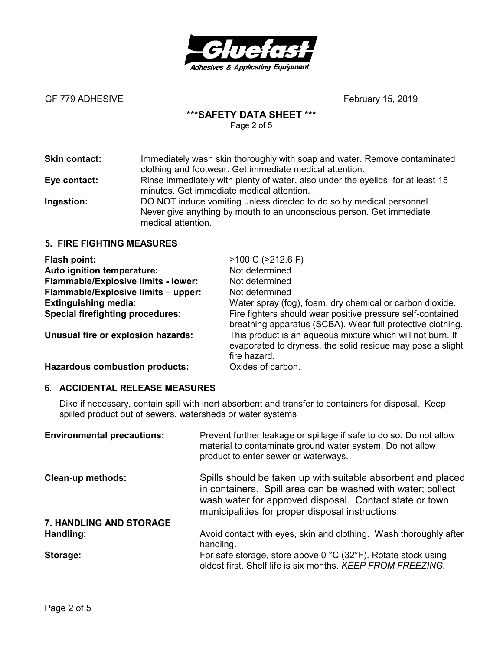

# **\*\*\*SAFETY DATA SHEET \*\*\***

Page 2 of 5

| <b>Skin contact:</b> | Immediately wash skin thoroughly with soap and water. Remove contaminated<br>clothing and footwear. Get immediate medical attention.                                |
|----------------------|---------------------------------------------------------------------------------------------------------------------------------------------------------------------|
| Eye contact:         | Rinse immediately with plenty of water, also under the eyelids, for at least 15<br>minutes. Get immediate medical attention.                                        |
| Ingestion:           | DO NOT induce vomiting unless directed to do so by medical personnel.<br>Never give anything by mouth to an unconscious person. Get immediate<br>medical attention. |

# **5. FIRE FIGHTING MEASURES**

| Flash point:                               | $>100 C$ ( $>212.6 F$ )                                                                                                                  |
|--------------------------------------------|------------------------------------------------------------------------------------------------------------------------------------------|
| Auto ignition temperature:                 | Not determined                                                                                                                           |
| <b>Flammable/Explosive limits - lower:</b> | Not determined                                                                                                                           |
| Flammable/Explosive limits - upper:        | Not determined                                                                                                                           |
| <b>Extinguishing media:</b>                | Water spray (fog), foam, dry chemical or carbon dioxide.                                                                                 |
| Special firefighting procedures:           | Fire fighters should wear positive pressure self-contained<br>breathing apparatus (SCBA). Wear full protective clothing.                 |
| Unusual fire or explosion hazards:         | This product is an aqueous mixture which will not burn. If<br>evaporated to dryness, the solid residue may pose a slight<br>fire hazard. |
| <b>Hazardous combustion products:</b>      | Oxides of carbon.                                                                                                                        |

## **6. ACCIDENTAL RELEASE MEASURES**

Dike if necessary, contain spill with inert absorbent and transfer to containers for disposal. Keep spilled product out of sewers, watersheds or water systems

| <b>Environmental precautions:</b> | Prevent further leakage or spillage if safe to do so. Do not allow<br>material to contaminate ground water system. Do not allow<br>product to enter sewer or waterways.                                                                    |
|-----------------------------------|--------------------------------------------------------------------------------------------------------------------------------------------------------------------------------------------------------------------------------------------|
| <b>Clean-up methods:</b>          | Spills should be taken up with suitable absorbent and placed<br>in containers. Spill area can be washed with water; collect<br>wash water for approved disposal. Contact state or town<br>municipalities for proper disposal instructions. |
| <b>7. HANDLING AND STORAGE</b>    |                                                                                                                                                                                                                                            |
| Handling:                         | Avoid contact with eyes, skin and clothing. Wash thoroughly after<br>handling.                                                                                                                                                             |
| Storage:                          | For safe storage, store above 0 $^{\circ}$ C (32 $^{\circ}$ F). Rotate stock using<br>oldest first. Shelf life is six months. KEEP FROM FREEZING.                                                                                          |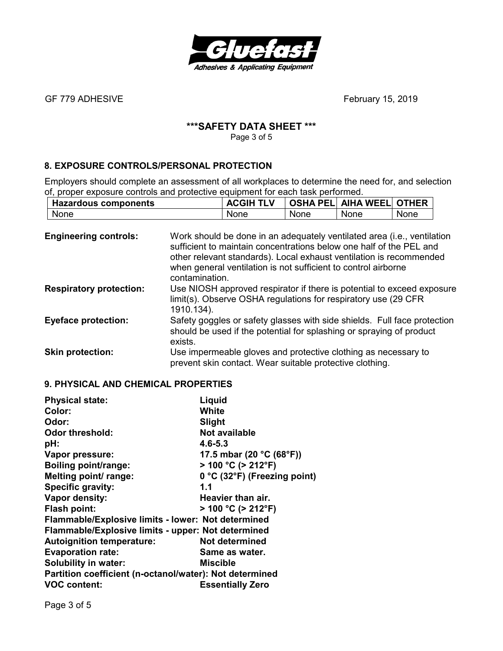

# **\*\*\*SAFETY DATA SHEET \*\*\***

Page 3 of 5

# **8. EXPOSURE CONTROLS/PERSONAL PROTECTION**

Employers should complete an assessment of all workplaces to determine the need for, and selection of, proper exposure controls and protective equipment for each task performed.

| <b>Hazardous components</b> | <b>ACGIH TLV</b> |      | <b>OSHA PELI AIHA WEELI OTHER</b> |      |
|-----------------------------|------------------|------|-----------------------------------|------|
| <b>None</b>                 | None             | None | None                              | None |

| <b>Engineering controls:</b>   | Work should be done in an adequately ventilated area (i.e., ventilation<br>sufficient to maintain concentrations below one half of the PEL and<br>other relevant standards). Local exhaust ventilation is recommended<br>when general ventilation is not sufficient to control airborne<br>contamination. |
|--------------------------------|-----------------------------------------------------------------------------------------------------------------------------------------------------------------------------------------------------------------------------------------------------------------------------------------------------------|
| <b>Respiratory protection:</b> | Use NIOSH approved respirator if there is potential to exceed exposure<br>limit(s). Observe OSHA regulations for respiratory use (29 CFR)<br>1910.134).                                                                                                                                                   |
| <b>Eyeface protection:</b>     | Safety goggles or safety glasses with side shields. Full face protection<br>should be used if the potential for splashing or spraying of product<br>exists.                                                                                                                                               |
| <b>Skin protection:</b>        | Use impermeable gloves and protective clothing as necessary to<br>prevent skin contact. Wear suitable protective clothing.                                                                                                                                                                                |

## **9. PHYSICAL AND CHEMICAL PROPERTIES**

| <b>Physical state:</b>                                  | Liquid                                        |  |
|---------------------------------------------------------|-----------------------------------------------|--|
| Color:                                                  | White                                         |  |
| Odor:                                                   | Slight                                        |  |
| <b>Odor threshold:</b>                                  | Not available                                 |  |
| pH:                                                     | $4.6 - 5.3$                                   |  |
| Vapor pressure:                                         | 17.5 mbar (20 $^{\circ}$ C (68 $^{\circ}$ F)) |  |
| <b>Boiling point/range:</b>                             | $> 100 °C$ ( $> 212 °F$ )                     |  |
| Melting point/ range:                                   | 0 °C (32°F) (Freezing point)                  |  |
| Specific gravity:                                       | 1.1                                           |  |
| Vapor density:                                          | Heavier than air.                             |  |
| <b>Flash point:</b>                                     | $> 100 °C$ ( $> 212 °F$ )                     |  |
| Flammable/Explosive limits - lower: Not determined      |                                               |  |
| Flammable/Explosive limits - upper: Not determined      |                                               |  |
| <b>Autoignition temperature:</b>                        | Not determined                                |  |
| <b>Evaporation rate:</b>                                | Same as water.                                |  |
| <b>Solubility in water:</b>                             | Miscible                                      |  |
| Partition coefficient (n-octanol/water): Not determined |                                               |  |
| <b>VOC content:</b>                                     | <b>Essentially Zero</b>                       |  |

Page 3 of 5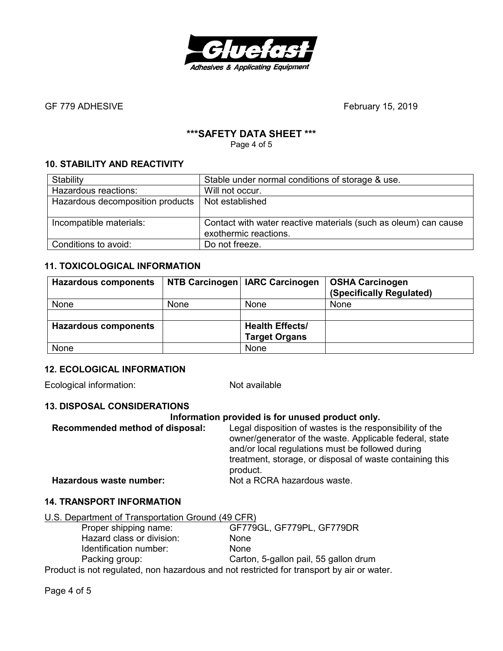

# **\*\*\*SAFETY DATA SHEET \*\*\***

Page 4 of 5

# **10. STABILITY AND REACTIVITY**

| Stability                        | Stable under normal conditions of storage & use.                |
|----------------------------------|-----------------------------------------------------------------|
| Hazardous reactions:             | Will not occur.                                                 |
| Hazardous decomposition products | Not established                                                 |
|                                  |                                                                 |
| Incompatible materials:          | Contact with water reactive materials (such as oleum) can cause |
|                                  | exothermic reactions.                                           |
| Conditions to avoid:             | Do not freeze.                                                  |

# **11. TOXICOLOGICAL INFORMATION**

| <b>Hazardous components</b> | NTB Carcinogen | <b>IARC Carcinogen</b> | <b>OSHA Carcinogen</b><br>(Specifically Regulated) |
|-----------------------------|----------------|------------------------|----------------------------------------------------|
| None                        | None           | None                   | None                                               |
|                             |                |                        |                                                    |
| <b>Hazardous components</b> |                | <b>Health Effects/</b> |                                                    |
|                             |                | <b>Target Organs</b>   |                                                    |
| None                        |                | None                   |                                                    |

## **12. ECOLOGICAL INFORMATION**

Ecological information: Not available

## **13. DISPOSAL CONSIDERATIONS**

| Information provided is for unused product only. |                                                                                                                                                                                                                                                 |  |
|--------------------------------------------------|-------------------------------------------------------------------------------------------------------------------------------------------------------------------------------------------------------------------------------------------------|--|
| Recommended method of disposal:                  | Legal disposition of wastes is the responsibility of the<br>owner/generator of the waste. Applicable federal, state<br>and/or local regulations must be followed during<br>treatment, storage, or disposal of waste containing this<br>product. |  |
| Hazardous waste number:                          | Not a RCRA hazardous waste.                                                                                                                                                                                                                     |  |

## **14. TRANSPORT INFORMATION**

| U.S. Department of Transportation Ground (49 CFR) |                                                                                           |
|---------------------------------------------------|-------------------------------------------------------------------------------------------|
| Proper shipping name:                             | GF779GL, GF779PL, GF779DR                                                                 |
| Hazard class or division:                         | <b>None</b>                                                                               |
| Identification number:                            | <b>None</b>                                                                               |
| Packing group:                                    | Carton, 5-gallon pail, 55 gallon drum                                                     |
|                                                   | Product is not requisited, non hazardous and not restricted for transport by air or water |

Product is not regulated, non hazardous and not restricted for transport by air or water.

Page 4 of 5